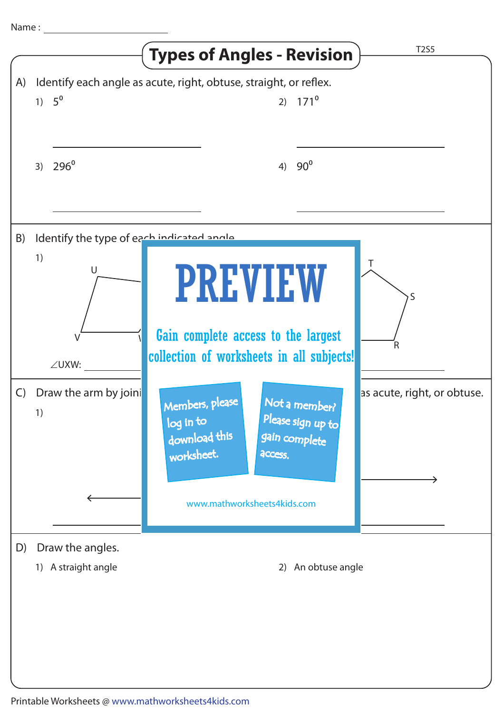|              |                                                               | <b>Types of Angles - Revision</b>                                                                                                                            | <b>T2S5</b>                 |
|--------------|---------------------------------------------------------------|--------------------------------------------------------------------------------------------------------------------------------------------------------------|-----------------------------|
| A)           | 1) $5^{\circ}$                                                | Identify each angle as acute, right, obtuse, straight, or reflex.<br>2) $171^{\circ}$                                                                        |                             |
|              | $296^\circ$<br>3)                                             | $90^{\circ}$<br>4)                                                                                                                                           |                             |
| B)           | Identify the type of each indicated angle<br>1)<br>U<br>∠UXW: | <b>PREVIEW</b><br>Gain complete access to the largest<br>collection of worksheets in all subjects!                                                           | S<br>R                      |
| $\mathsf{C}$ | Draw the arm by joini<br>1)                                   | Not a member?<br>Members, please<br>Please sign up to<br>log in to<br>download this<br>gain complete<br>worksheet.<br>access.<br>www.mathworksheets4kids.com | as acute, right, or obtuse. |
| D)           | Draw the angles.<br>1) A straight angle                       | 2) An obtuse angle                                                                                                                                           |                             |